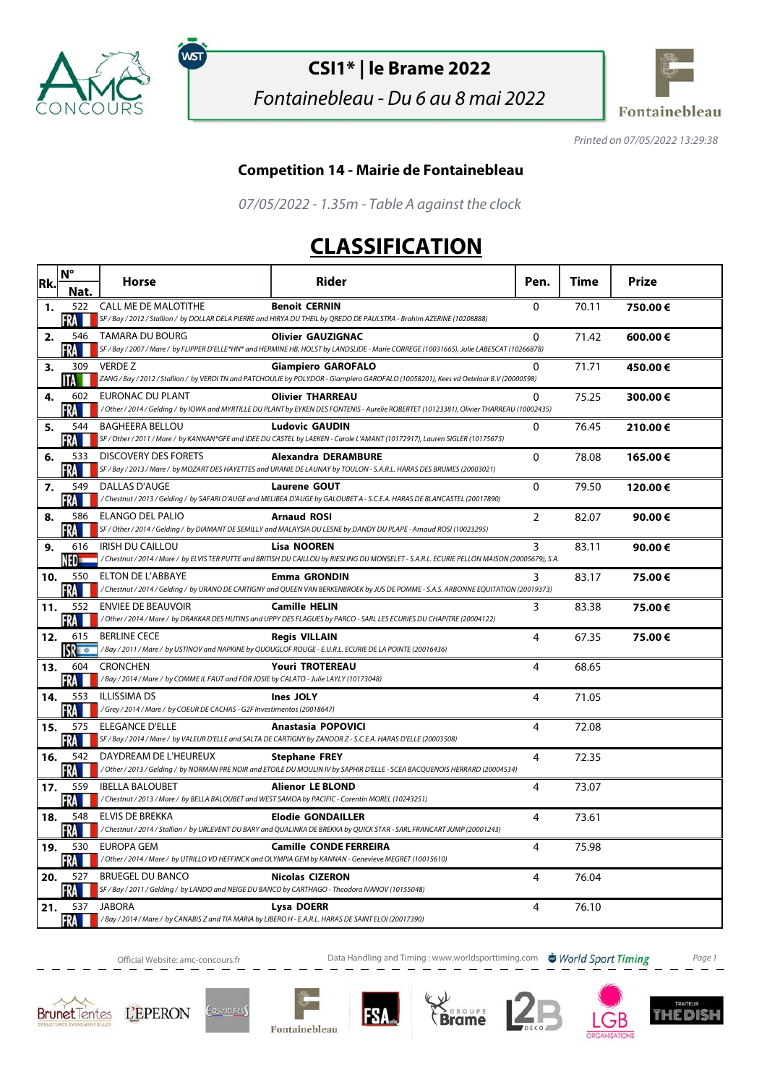

์พรา

## **CSI1\* | le Brame 2022**

Fontainebleau - Du 6 au 8 mai 2022



Printed on 07/05/2022 13:29:38

## **Competition 14 - Mairie de Fontainebleau**

07/05/2022 - 1.35m - Table A against the clock

## **CLASSIFICATION**

| Rk. | $N^{\circ}$                      | <b>Horse</b>                                                                                                                | Rider                                                                                                                                                                                                                                                                                         | Pen.           | Time  | <b>Prize</b> |
|-----|----------------------------------|-----------------------------------------------------------------------------------------------------------------------------|-----------------------------------------------------------------------------------------------------------------------------------------------------------------------------------------------------------------------------------------------------------------------------------------------|----------------|-------|--------------|
| 1.  | Nat.<br>522                      | <b>CALL ME DE MALOTITHE</b>                                                                                                 | <b>Benoit CERNIN</b>                                                                                                                                                                                                                                                                          | $\Omega$       | 70.11 | 750.00€      |
| 2.  | FRA<br>546<br>∙RA                | TAMARA DU BOURG                                                                                                             | SF / Bay / 2012 / Stallion / by DOLLAR DELA PIERRE and HIRYA DU THEIL by QREDO DE PAULSTRA - Brahim AZERINE (10208888)<br><b>Olivier GAUZIGNAC</b><br>SF / Bay / 2007 / Mare / by FLIPPER D'ELLE*HN* and HERMINE HB, HOLST by LANDSLIDE - Marie CORREGE (10031665), Julie LABESCAT (10266878) | $\Omega$       | 71.42 | 600.00€      |
| 3.  | 309<br>ШA                        | <b>VERDE Z</b>                                                                                                              | <b>Giampiero GAROFALO</b><br>ZANG / Bay / 2012 / Stallion / by VERDI TN and PATCHOULIE by POLYDOR - Giampiero GAROFALO (10058201), Kees vd Oetelaar B.V (20000598)                                                                                                                            | $\Omega$       | 71.71 | 450.00€      |
| 4.  | 602<br>FRA                       | <b>EURONAC DU PLANT</b>                                                                                                     | <b>Olivier THARREAU</b><br>/ Other / 2014 / Gelding / by IOWA and MYRTILLE DU PLANT by EYKEN DES FONTENIS - Aurelie ROBERTET (10123381), Olivier THARREAU (10002435)                                                                                                                          | $\Omega$       | 75.25 | 300.00€      |
| 5.  | 544<br>FRA                       | <b>BAGHEERA BELLOU</b>                                                                                                      | <b>Ludovic GAUDIN</b><br>SF / Other / 2011 / Mare / by KANNAN*GFE and IDEE DU CASTEL by LAEKEN - Carole L'AMANT (10172917), Lauren SIGLER (10175675)                                                                                                                                          | $\mathbf{0}$   | 76.45 | 210.00€      |
| 6.  | 533<br>FRA                       | <b>DISCOVERY DES FORETS</b>                                                                                                 | <b>Alexandra DERAMBURE</b><br>SF / Bay / 2013 / Mare / by MOZART DES HAYETTES and URANIE DE LAUNAY by TOULON - S.A.R.L. HARAS DES BRUMES (20003021)                                                                                                                                           | $\mathbf{0}$   | 78.08 | 165.00€      |
| 7.  | 549<br>KA I                      | DALLAS D'AUGE                                                                                                               | <b>Laurene GOUT</b><br>/Chestnut / 2013 / Gelding / by SAFARI D'AUGE and MELIBEA D'AUGE by GALOUBET A - S.C.E.A. HARAS DE BLANCASTEL (20017890)                                                                                                                                               | $\Omega$       | 79.50 | 120.00€      |
| 8.  | 586<br>FRA I                     | <b>ELANGO DEL PALIO</b>                                                                                                     | <b>Arnaud ROSI</b><br>SF / Other / 2014 / Gelding / by DIAMANT DE SEMILLY and MALAYSIA DU LESNE by DANDY DU PLAPE - Arnaud ROSI (10023295)                                                                                                                                                    | $\overline{2}$ | 82.07 | 90.00€       |
| 9.  | 616<br>NED=                      | <b>IRISH DU CAILLOU</b>                                                                                                     | <b>Lisa NOOREN</b><br>/Chestnut / 2014 / Mare / by ELVIS TER PUTTE and BRITISH DU CAILLOU by RIESLING DU MONSELET - S.A.R.L. ECURIE PELLON MAISON (20005679), S.A.                                                                                                                            | 3              | 83.11 | 90.00€       |
| 10. | 550<br>FRA                       | <b>ELTON DE L'ABBAYE</b>                                                                                                    | <b>Emma GRONDIN</b><br>/Chestnut / 2014 / Gelding / by URANO DE CARTIGNY and QUEEN VAN BERKENBROEK by JUS DE POMME - S.A.S. ARBONNE EQUITATION (20019373)                                                                                                                                     | 3              | 83.17 | 75.00€       |
| 11. | 552<br>FRA III                   | <b>ENVIEE DE BEAUVOIR</b>                                                                                                   | <b>Camille HELIN</b><br>/ Other / 2014 / Mare / by DRAKKAR DES HUTINS and UPPY DES FLAGUES by PARCO - SARL LES ECURIES DU CHAPITRE (20004122)                                                                                                                                                 | 3              | 83.38 | 75.00€       |
| 12. | 615<br>$\mathbf{S}$ $\mathbf{C}$ | <b>BERLINE CECE</b>                                                                                                         | <b>Regis VILLAIN</b><br>/Bay / 2011 / Mare / by USTINOV and NAPKINE by QUOUGLOF ROUGE - E.U.R.L. ECURIE DE LA POINTE (20016436)                                                                                                                                                               | 4              | 67.35 | 75.00€       |
| 13. | 604<br>FRA                       | <b>CRONCHEN</b><br>/Bay / 2014 / Mare / by COMME IL FAUT and FOR JOSIE by CALATO - Julie LAYLY (10173048)                   | <b>Youri TROTEREAU</b>                                                                                                                                                                                                                                                                        | 4              | 68.65 |              |
| 14. | 553<br>FRA                       | <b>ILLISSIMA DS</b><br>/Grey / 2014 / Mare / by COEUR DE CACHAS - G2F Investimentos (20018647)                              | Ines JOLY                                                                                                                                                                                                                                                                                     | $\overline{4}$ | 71.05 |              |
| 15. | 575<br>FRA M                     | <b>ELEGANCE D'ELLE</b>                                                                                                      | <b>Anastasia POPOVICI</b><br>SF / Bay / 2014 / Mare / by VALEUR D'ELLE and SALTA DE CARTIGNY by ZANDOR Z - S.C.E.A. HARAS D'ELLE (20003508)                                                                                                                                                   | $\overline{4}$ | 72.08 |              |
| 16. | 542<br>FRA M                     | DAYDREAM DE L'HEUREUX                                                                                                       | <b>Stephane FREY</b><br>/ Other / 2013 / Gelding / by NORMAN PRE NOIR and ETOILE DU MOULIN IV by SAPHIR D'ELLE - SCEA BACQUENOIS HERRARD (20004534)                                                                                                                                           | 4              | 72.35 |              |
| 17. | 559<br>FRA                       | <b>IBELLA BALOUBET</b><br>/Chestnut / 2013 / Mare / by BELLA BALOUBET and WEST SAMOA by PACIFIC - Corentin MOREL (10243251) | <b>Alienor LE BLOND</b>                                                                                                                                                                                                                                                                       | 4              | 73.07 |              |
| 18. | 548<br>FRA I                     | <b>ELVIS DE BREKKA</b>                                                                                                      | <b>Elodie GONDAILLER</b><br>/ Chestnut / 2014 / Stallion / by URLEVENT DU BARY and QUALINKA DE BREKKA by QUICK STAR - SARL FRANCART JUMP (20001243)                                                                                                                                           | 4              | 73.61 |              |
| 19. | 530<br>FRA                       | EUROPA GEM                                                                                                                  | <b>Camille CONDE FERREIRA</b><br>/Other / 2014 / Mare / by UTRILLO VD HEFFINCK and OLYMPIA GEM by KANNAN - Genevieve MEGRET (10015610)                                                                                                                                                        | 4              | 75.98 |              |
| 20. | 527<br>FRA                       | <b>BRUEGEL DU BANCO</b><br>SF / Bay / 2011 / Gelding / by LANDO and NEIGE DU BANCO by CARTHAGO - Theodora IVANOV (10155048) | <b>Nicolas CIZERON</b>                                                                                                                                                                                                                                                                        | 4              | 76.04 |              |
| 21. | 537<br>FRA <b>H</b>              | <b>JABORA</b><br>/Bay / 2014 / Mare / by CANABIS Z and TIA MARIA by LIBERO H - E.A.R.L. HARAS DE SAINT ELOI (20017390)      | Lysa DOERR                                                                                                                                                                                                                                                                                    | $\overline{4}$ | 76.10 |              |

Official Website: amc-concours.fr **Data Handling and Timing : www.worldsporttiming.com World Sport Timing** Page 1